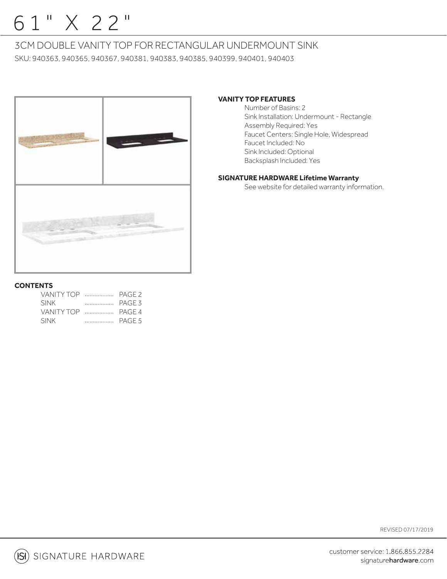# 61" X 22"

## 3CM DOUBLE VANITY TOP FOR RECTANGULAR UNDERMOUNT SINK

SKU: 940363, 940365, 940367, 940381, 940383, 940385, 940399, 940401, 940403



## **VANITY TOP FEATURES**

 Number of Basins: 2 Sink Installation: Undermount - Rectangle Assembly Required: Yes Faucet Centers: Single Hole, Widespread Faucet Included: No Sink Included: Optional Backsplash Included: Yes

## **SIGNATURE HARDWARE Lifetime Warranty**

See website for detailed warranty information.

## **CONTENTS**

| VANITY TOP $\ldots$ | PAGE <sub>2</sub> |
|---------------------|-------------------|
| <b>SINK</b>         | PAGE 3            |
| VANITY TOP $\ldots$ | PAGE 4            |
| <b>SINK</b>         |                   |

REVISED 07/17/2019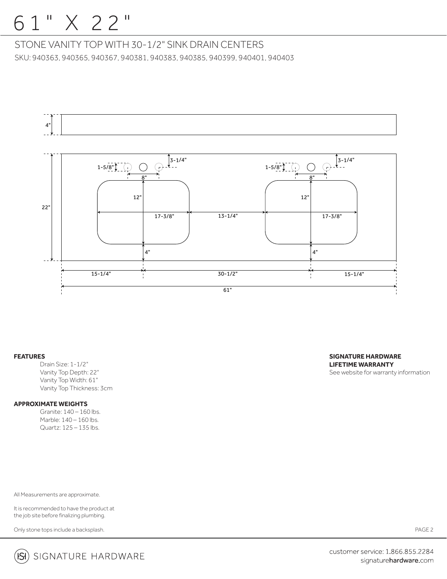## 6 1 " X 22"

STONE VANITY TOP WITH 30-1/2" SINK DRAIN CENTERS SKU: 940363, 940365, 940367, 940381, 940383, 940385, 940399, 940401, 940403



#### **FEATURES**

Drain Size: 1-1/2" Vanity Top Depth: 22" Vanity Top Width: 61" Vanity Top Thickness: 3cm

## **APPROXIMATE WEIGHTS**

 Granite: 140 – 160 lbs. Marble: 140 - 160 lbs. Quartz: 125 – 135 lbs.

All Measurements are approximate.

It is recommended to have the product at the job site before finalizing plumbing.

Only stone tops include a backsplash.



PAGE 2



customer service: 1.866.855.2284 signaturehardware.com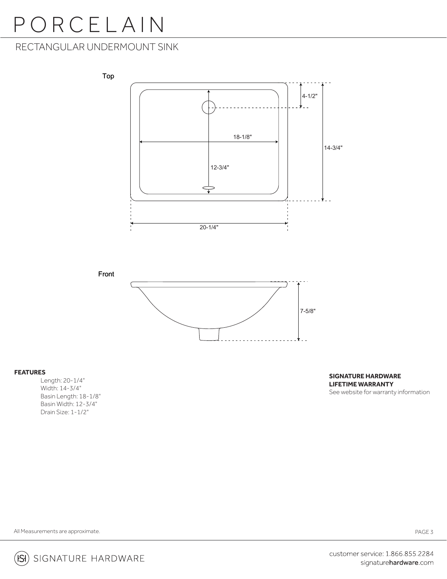# PORCELAIN

## RECTANGULAR UNDERMOUNT SINK



## **FEATURES**

 Length: 20-1/4" Width: 14-3/4" Basin Length: 18-1/8" Basin Width: 12-3/4" Drain Size: 1-1/2"

## **SIGNATURE HARDWARE LIFETIME WARRANTY**

See website for warranty information

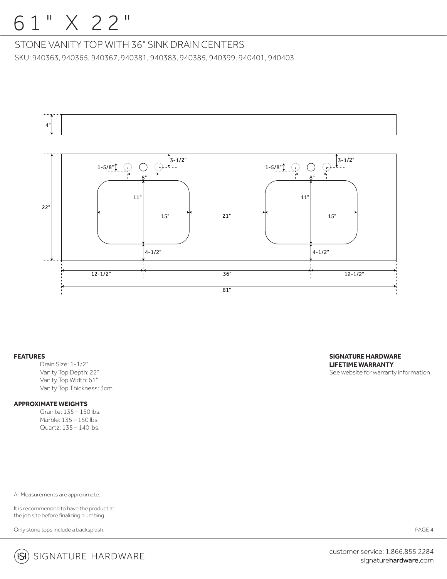## 6 1 " X 22"

STONE VANITY TOP WITH 36" SINK DRAIN CENTERS SKU: 940363, 940365, 940367, 940381, 940383, 940385, 940399, 940401, 940403



#### **FEATURES**

Drain Size: 1-1/2" Vanity Top Depth: 22" Vanity Top Width: 61" Vanity Top Thickness: 3cm

### **APPROXIMATE WEIGHTS**

 Granite: 135 – 150 lbs. Marble: 135 – 150 lbs. Quartz: 135 – 140 lbs.

All Measurements are approximate.

It is recommended to have the product at the job site before finalizing plumbing.

Only stone tops include a backsplash.

**SIGNATURE HARDWARE LIFETIME WARRANTY** See website for warranty information